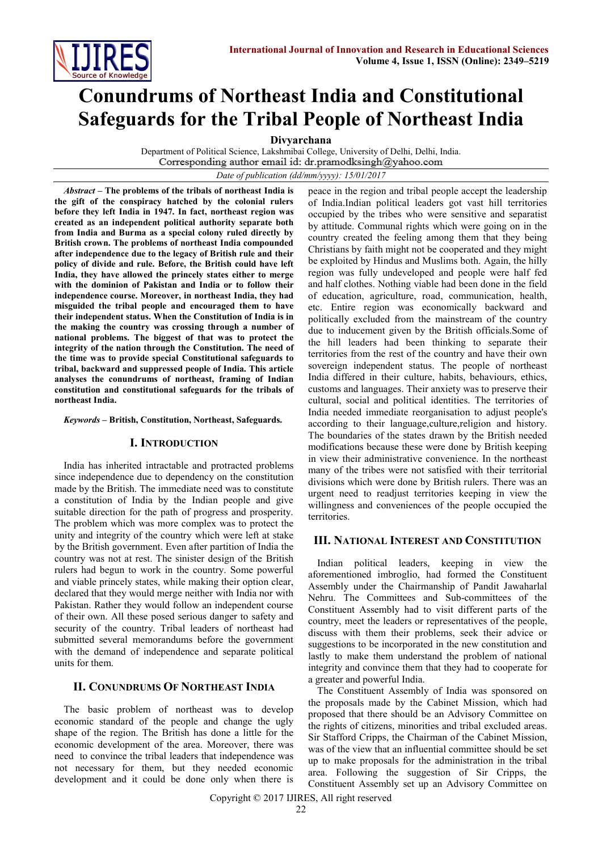

# **Conundrums of Northeast India and Constitutional Safeguards for the Tribal People of Northeast India**

**Divyarchana**

Department of Political Science, Lakshmibai College, University of Delhi, Delhi, India.<br>Corresponding author email id: dr.pramodksingh@yahoo.com

*Date of publication (dd/mm/yyyy): 15/01/2017*

*Abstract* **– The problems of the tribals of northeast India is the gift of the conspiracy hatched by the colonial rulers before they left India in 1947. In fact, northeast region was created as an independent political authority separate both from India and Burma as a special colony ruled directly by British crown. The problems of northeast India compounded after independence due to the legacy of British rule and their policy of divide and rule. Before, the British could have left India, they have allowed the princely states either to merge with the dominion of Pakistan and India or to follow their independence course. Moreover, in northeast India, they had misguided the tribal people and encouraged them to have their independent status. When the Constitution of India is in the making the country was crossing through a number of national problems. The biggest of that was to protect the integrity of the nation through the Constitution. The need of the time was to provide special Constitutional safeguards to tribal, backward and suppressed people of India. This article analyses the conundrums of northeast, framing of Indian constitution and constitutional safeguards for the tribals of northeast India.**

*Keywords* **– British, Constitution, Northeast, Safeguards.**

## **I. INTRODUCTION**

India has inherited intractable and protracted problems since independence due to dependency on the constitution made by the British. The immediate need was to constitute a constitution of India by the Indian people and give suitable direction for the path of progress and prosperity. The problem which was more complex was to protect the unity and integrity of the country which were left at stake by the British government. Even after partition of India the country was not at rest. The sinister design of the British rulers had begun to work in the country. Some powerful and viable princely states, while making their option clear, declared that they would merge neither with India nor with Pakistan. Rather they would follow an independent course of their own. All these posed serious danger to safety and security of the country. Tribal leaders of northeast had submitted several memorandums before the government with the demand of independence and separate political units for them.

## **II. CONUNDRUMS OF NORTHEAST INDIA**

The basic problem of northeast was to develop economic standard of the people and change the ugly shape of the region. The British has done a little for the economic development of the area. Moreover, there was need to convince the tribal leaders that independence was not necessary for them, but they needed economic development and it could be done only when there is

peace in the region and tribal people accept the leadership of India.Indian political leaders got vast hill territories occupied by the tribes who were sensitive and separatist by attitude. Communal rights which were going on in the country created the feeling among them that they being Christians by faith might not be cooperated and they might be exploited by Hindus and Muslims both. Again, the hilly region was fully undeveloped and people were half fed and half clothes. Nothing viable had been done in the field of education, agriculture, road, communication, health, etc. Entire region was economically backward and politically excluded from the mainstream of the country due to inducement given by the British officials.Some of the hill leaders had been thinking to separate their territories from the rest of the country and have their own sovereign independent status. The people of northeast India differed in their culture, habits, behaviours, ethics, customs and languages. Their anxiety was to preserve their cultural, social and political identities. The territories of India needed immediate reorganisation to adjust people's according to their language,culture,religion and history. The boundaries of the states drawn by the British needed modifications because these were done by British keeping in view their administrative convenience. In the northeast many of the tribes were not satisfied with their territorial divisions which were done by British rulers. There was an urgent need to readjust territories keeping in view the willingness and conveniences of the people occupied the territories.

#### **III. NATIONAL INTEREST AND CONSTITUTION**

Indian political leaders, keeping in view the aforementioned imbroglio, had formed the Constituent Assembly under the Chairmanship of Pandit Jawaharlal Nehru. The Committees and Sub-committees of the Constituent Assembly had to visit different parts of the country, meet the leaders or representatives of the people, discuss with them their problems, seek their advice or suggestions to be incorporated in the new constitution and lastly to make them understand the problem of national integrity and convince them that they had to cooperate for a greater and powerful India.

The Constituent Assembly of India was sponsored on the proposals made by the Cabinet Mission, which had proposed that there should be an Advisory Committee on the rights of citizens, minorities and tribal excluded areas. Sir Stafford Cripps, the Chairman of the Cabinet Mission, was of the view that an influential committee should be set up to make proposals for the administration in the tribal area. Following the suggestion of Sir Cripps, the Constituent Assembly set up an Advisory Committee on

Copyright © 2017 IJIRES, All right reserved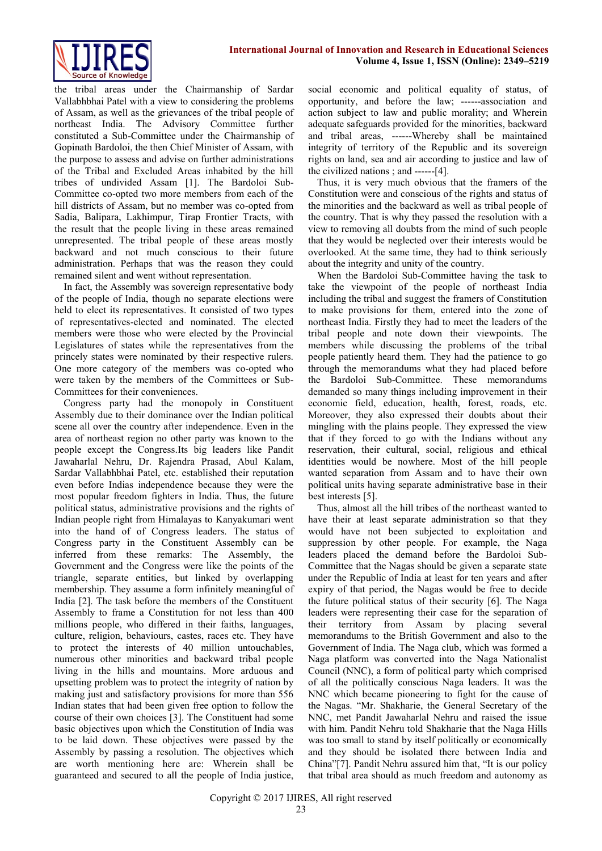

the tribal areas under the Chairmanship of Sardar Vallabhbhai Patel with a view to considering the problems of Assam, as well as the grievances of the tribal people of northeast India. The Advisory Committee further constituted a Sub-Committee under the Chairmanship of Gopinath Bardoloi, the then Chief Minister of Assam, with the purpose to assess and advise on further administrations of the Tribal and Excluded Areas inhabited by the hill tribes of undivided Assam [1]. The Bardoloi Sub-Committee co-opted two more members from each of the hill districts of Assam, but no member was co-opted from Sadia, Balipara, Lakhimpur, Tirap Frontier Tracts, with the result that the people living in these areas remained unrepresented. The tribal people of these areas mostly backward and not much conscious to their future administration. Perhaps that was the reason they could remained silent and went without representation.

In fact, the Assembly was sovereign representative body of the people of India, though no separate elections were held to elect its representatives. It consisted of two types of representatives-elected and nominated. The elected members were those who were elected by the Provincial Legislatures of states while the representatives from the princely states were nominated by their respective rulers. One more category of the members was co-opted who were taken by the members of the Committees or Sub-Committees for their conveniences.

Congress party had the monopoly in Constituent Assembly due to their dominance over the Indian political scene all over the country after independence. Even in the area of northeast region no other party was known to the people except the Congress.Its big leaders like Pandit Jawaharlal Nehru, Dr. Rajendra Prasad, Abul Kalam, Sardar Vallabhbhai Patel, etc. established their reputation even before Indias independence because they were the most popular freedom fighters in India. Thus, the future political status, administrative provisions and the rights of Indian people right from Himalayas to Kanyakumari went into the hand of of Congress leaders. The status of Congress party in the Constituent Assembly can be inferred from these remarks: The Assembly, the Government and the Congress were like the points of the triangle, separate entities, but linked by overlapping membership. They assume a form infinitely meaningful of India [2]. The task before the members of the Constituent Assembly to frame a Constitution for not less than 400 millions people, who differed in their faiths, languages, culture, religion, behaviours, castes, races etc. They have to protect the interests of 40 million untouchables, numerous other minorities and backward tribal people living in the hills and mountains. More arduous and upsetting problem was to protect the integrity of nation by making just and satisfactory provisions for more than 556 Indian states that had been given free option to follow the course of their own choices [3]. The Constituent had some basic objectives upon which the Constitution of India was to be laid down. These objectives were passed by the Assembly by passing a resolution. The objectives which are worth mentioning here are: Wherein shall be guaranteed and secured to all the people of India justice,

social economic and political equality of status, of opportunity, and before the law; ------association and action subject to law and public morality; and Wherein adequate safeguards provided for the minorities, backward and tribal areas, ------Whereby shall be maintained integrity of territory of the Republic and its sovereign rights on land, sea and air according to justice and law of the civilized nations ; and ------[4].

Thus, it is very much obvious that the framers of the Constitution were and conscious of the rights and status of the minorities and the backward as well as tribal people of the country. That is why they passed the resolution with a view to removing all doubts from the mind of such people that they would be neglected over their interests would be overlooked. At the same time, they had to think seriously about the integrity and unity of the country.

When the Bardoloi Sub-Committee having the task to take the viewpoint of the people of northeast India including the tribal and suggest the framers of Constitution to make provisions for them, entered into the zone of northeast India. Firstly they had to meet the leaders of the tribal people and note down their viewpoints. The members while discussing the problems of the tribal people patiently heard them. They had the patience to go through the memorandums what they had placed before the Bardoloi Sub-Committee. These memorandums demanded so many things including improvement in their economic field, education, health, forest, roads, etc. Moreover, they also expressed their doubts about their mingling with the plains people. They expressed the view that if they forced to go with the Indians without any reservation, their cultural, social, religious and ethical identities would be nowhere. Most of the hill people wanted separation from Assam and to have their own political units having separate administrative base in their best interests [5].

Thus, almost all the hill tribes of the northeast wanted to have their at least separate administration so that they would have not been subjected to exploitation and suppression by other people. For example, the Naga leaders placed the demand before the Bardoloi Sub-Committee that the Nagas should be given a separate state under the Republic of India at least for ten years and after expiry of that period, the Nagas would be free to decide the future political status of their security [6]. The Naga leaders were representing their case for the separation of their territory from Assam by placing several memorandums to the British Government and also to the Government of India. The Naga club, which was formed a Naga platform was converted into the Naga Nationalist Council (NNC), a form of political party which comprised of all the politically conscious Naga leaders. It was the NNC which became pioneering to fight for the cause of the Nagas. "Mr. Shakharie, the General Secretary of the NNC, met Pandit Jawaharlal Nehru and raised the issue with him. Pandit Nehru told Shakharie that the Naga Hills was too small to stand by itself politically or economically and they should be isolated there between India and China"[7]. Pandit Nehru assured him that, "It is our policy that tribal area should as much freedom and autonomy as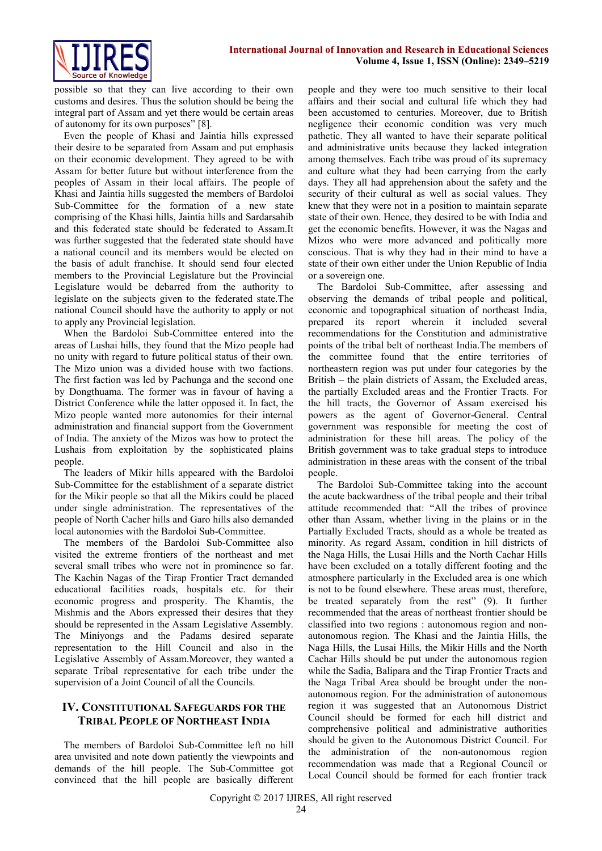

possible so that they can live according to their own customs and desires. Thus the solution should be being the integral part of Assam and yet there would be certain areas of autonomy for its own purposes" [8].

Even the people of Khasi and Jaintia hills expressed their desire to be separated from Assam and put emphasis on their economic development. They agreed to be with Assam for better future but without interference from the peoples of Assam in their local affairs. The people of Khasi and Jaintia hills suggested the members of Bardoloi Sub-Committee for the formation of a new state comprising of the Khasi hills, Jaintia hills and Sardarsahib and this federated state should be federated to Assam.It was further suggested that the federated state should have a national council and its members would be elected on the basis of adult franchise. It should send four elected members to the Provincial Legislature but the Provincial Legislature would be debarred from the authority to legislate on the subjects given to the federated state.The national Council should have the authority to apply or not to apply any Provincial legislation.

When the Bardoloi Sub-Committee entered into the areas of Lushai hills, they found that the Mizo people had no unity with regard to future political status of their own. The Mizo union was a divided house with two factions. The first faction was led by Pachunga and the second one by Dongthuama. The former was in favour of having a District Conference while the latter opposed it. In fact, the Mizo people wanted more autonomies for their internal administration and financial support from the Government of India. The anxiety of the Mizos was how to protect the Lushais from exploitation by the sophisticated plains people.

The leaders of Mikir hills appeared with the Bardoloi Sub-Committee for the establishment of a separate district for the Mikir people so that all the Mikirs could be placed under single administration. The representatives of the people of North Cacher hills and Garo hills also demanded local autonomies with the Bardoloi Sub-Committee.

The members of the Bardoloi Sub-Committee also visited the extreme frontiers of the northeast and met several small tribes who were not in prominence so far. The Kachin Nagas of the Tirap Frontier Tract demanded educational facilities roads, hospitals etc. for their economic progress and prosperity. The Khamtis, the Mishmis and the Abors expressed their desires that they should be represented in the Assam Legislative Assembly. The Miniyongs and the Padams desired separate representation to the Hill Council and also in the Legislative Assembly of Assam.Moreover, they wanted a separate Tribal representative for each tribe under the supervision of a Joint Council of all the Councils.

## **IV. CONSTITUTIONAL SAFEGUARDS FOR THE TRIBAL PEOPLE OF NORTHEAST INDIA**

The members of Bardoloi Sub-Committee left no hill area unvisited and note down patiently the viewpoints and demands of the hill people. The Sub-Committee got convinced that the hill people are basically different people and they were too much sensitive to their local affairs and their social and cultural life which they had been accustomed to centuries. Moreover, due to British negligence their economic condition was very much pathetic. They all wanted to have their separate political and administrative units because they lacked integration among themselves. Each tribe was proud of its supremacy and culture what they had been carrying from the early days. They all had apprehension about the safety and the security of their cultural as well as social values. They knew that they were not in a position to maintain separate state of their own. Hence, they desired to be with India and get the economic benefits. However, it was the Nagas and Mizos who were more advanced and politically more conscious. That is why they had in their mind to have a state of their own either under the Union Republic of India or a sovereign one.

The Bardoloi Sub-Committee, after assessing and observing the demands of tribal people and political, economic and topographical situation of northeast India, prepared its report wherein it included several recommendations for the Constitution and administrative points of the tribal belt of northeast India.The members of the committee found that the entire territories of northeastern region was put under four categories by the British – the plain districts of Assam, the Excluded areas, the partially Excluded areas and the Frontier Tracts. For the hill tracts, the Governor of Assam exercised his powers as the agent of Governor-General. Central government was responsible for meeting the cost of administration for these hill areas. The policy of the British government was to take gradual steps to introduce administration in these areas with the consent of the tribal people.

The Bardoloi Sub-Committee taking into the account the acute backwardness of the tribal people and their tribal attitude recommended that: "All the tribes of province other than Assam, whether living in the plains or in the Partially Excluded Tracts, should as a whole be treated as minority. As regard Assam, condition in hill districts of the Naga Hills, the Lusai Hills and the North Cachar Hills have been excluded on a totally different footing and the atmosphere particularly in the Excluded area is one which is not to be found elsewhere. These areas must, therefore, be treated separately from the rest" (9). It further recommended that the areas of northeast frontier should be classified into two regions : autonomous region and nonautonomous region. The Khasi and the Jaintia Hills, the Naga Hills, the Lusai Hills, the Mikir Hills and the North Cachar Hills should be put under the autonomous region while the Sadia, Balipara and the Tirap Frontier Tracts and the Naga Tribal Area should be brought under the nonautonomous region. For the administration of autonomous region it was suggested that an Autonomous District Council should be formed for each hill district and comprehensive political and administrative authorities should be given to the Autonomous District Council. For the administration of the non-autonomous region recommendation was made that a Regional Council or Local Council should be formed for each frontier track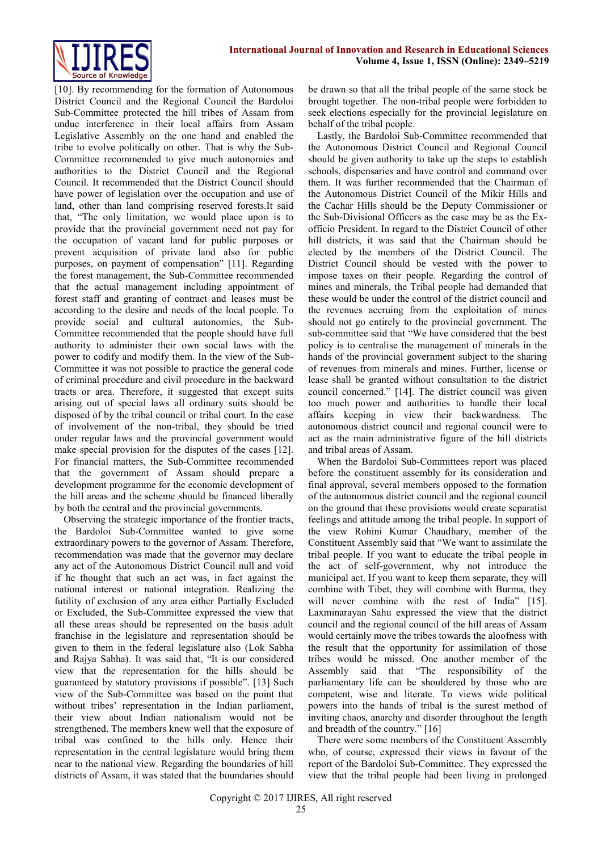[10]. By recommending for the formation of Autonomous District Council and the Regional Council the Bardoloi Sub-Committee protected the hill tribes of Assam from undue interference in their local affairs from Assam Legislative Assembly on the one hand and enabled the tribe to evolve politically on other. That is why the Sub-Committee recommended to give much autonomies and authorities to the District Council and the Regional Council. It recommended that the District Council should have power of legislation over the occupation and use of land, other than land comprising reserved forests.It said that, "The only limitation, we would place upon is to provide that the provincial government need not pay for the occupation of vacant land for public purposes or prevent acquisition of private land also for public purposes, on payment of compensation" [11]. Regarding the forest management, the Sub-Committee recommended that the actual management including appointment of forest staff and granting of contract and leases must be according to the desire and needs of the local people. To provide social and cultural autonomies, the Sub-Committee recommended that the people should have full authority to administer their own social laws with the power to codify and modify them. In the view of the Sub-Committee it was not possible to practice the general code of criminal procedure and civil procedure in the backward tracts or area. Therefore, it suggested that except suits arising out of special laws all ordinary suits should be disposed of by the tribal council or tribal court. In the case of involvement of the non-tribal, they should be tried under regular laws and the provincial government would make special provision for the disputes of the cases [12]. For financial matters, the Sub-Committee recommended that the government of Assam should prepare a development programme for the economic development of the hill areas and the scheme should be financed liberally by both the central and the provincial governments.

Observing the strategic importance of the frontier tracts, the Bardoloi Sub-Committee wanted to give some extraordinary powers to the governor of Assam. Therefore, recommendation was made that the governor may declare any act of the Autonomous District Council null and void if he thought that such an act was, in fact against the national interest or national integration. Realizing the futility of exclusion of any area either Partially Excluded or Excluded, the Sub-Committee expressed the view that all these areas should be represented on the basis adult franchise in the legislature and representation should be given to them in the federal legislature also (Lok Sabha and Rajya Sabha). It was said that, "It is our considered view that the representation for the hills should be guaranteed by statutory provisions if possible". [13] Such view of the Sub-Committee was based on the point that without tribes' representation in the Indian parliament, their view about Indian nationalism would not be strengthened. The members knew well that the exposure of tribal was confined to the hills only. Hence their representation in the central legislature would bring them near to the national view. Regarding the boundaries of hill districts of Assam, it was stated that the boundaries should be drawn so that all the tribal people of the same stock be brought together. The non-tribal people were forbidden to seek elections especially for the provincial legislature on behalf of the tribal people.

Lastly, the Bardoloi Sub-Committee recommended that the Autonomous District Council and Regional Council should be given authority to take up the steps to establish schools, dispensaries and have control and command over them. It was further recommended that the Chairman of the Autonomous District Council of the Mikir Hills and the Cachar Hills should be the Deputy Commissioner or the Sub-Divisional Officers as the case may be as the Exofficio President. In regard to the District Council of other hill districts, it was said that the Chairman should be elected by the members of the District Council. The District Council should be vested with the power to impose taxes on their people. Regarding the control of mines and minerals, the Tribal people had demanded that these would be under the control of the district council and the revenues accruing from the exploitation of mines should not go entirely to the provincial government. The sub-committee said that "We have considered that the best policy is to centralise the management of minerals in the hands of the provincial government subject to the sharing of revenues from minerals and mines. Further, license or lease shall be granted without consultation to the district council concerned." [14]. The district council was given too much power and authorities to handle their local affairs keeping in view their backwardness. The autonomous district council and regional council were to act as the main administrative figure of the hill districts and tribal areas of Assam.

When the Bardoloi Sub-Committees report was placed before the constituent assembly for its consideration and final approval, several members opposed to the formation of the autonomous district council and the regional council on the ground that these provisions would create separatist feelings and attitude among the tribal people. In support of the view Rohini Kumar Chaudhary, member of the Constituent Assembly said that "We want to assimilate the tribal people. If you want to educate the tribal people in the act of self-government, why not introduce the municipal act. If you want to keep them separate, they will combine with Tibet, they will combine with Burma, they will never combine with the rest of India" [15]. Laxminarayan Sahu expressed the view that the district council and the regional council of the hill areas of Assam would certainly move the tribes towards the aloofness with the result that the opportunity for assimilation of those tribes would be missed. One another member of the Assembly said that "The responsibility of the parliamentary life can be shouldered by those who are competent, wise and literate. To views wide political powers into the hands of tribal is the surest method of inviting chaos, anarchy and disorder throughout the length and breadth of the country." [16]

There were some members of the Constituent Assembly who, of course, expressed their views in favour of the report of the Bardoloi Sub-Committee. They expressed the view that the tribal people had been living in prolonged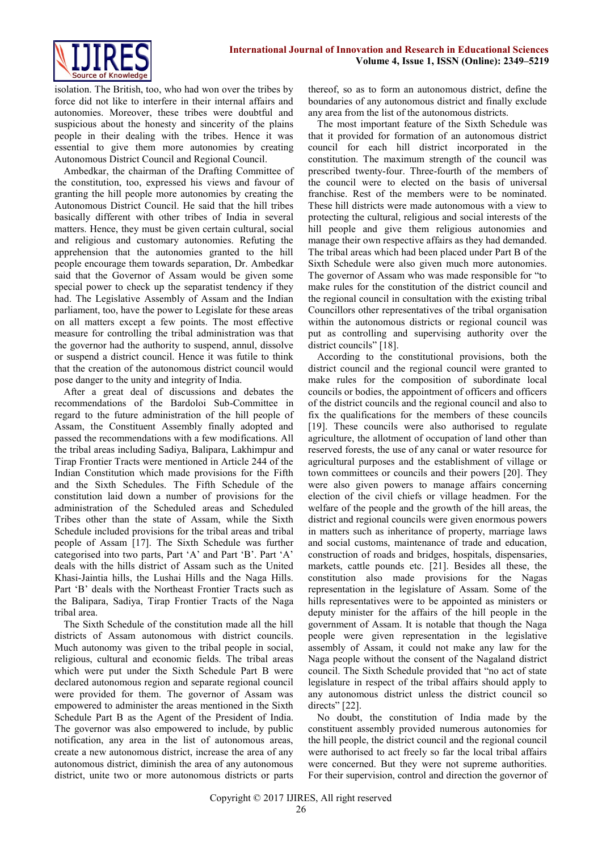

isolation. The British, too, who had won over the tribes by force did not like to interfere in their internal affairs and autonomies. Moreover, these tribes were doubtful and suspicious about the honesty and sincerity of the plains people in their dealing with the tribes. Hence it was essential to give them more autonomies by creating Autonomous District Council and Regional Council.

Ambedkar, the chairman of the Drafting Committee of the constitution, too, expressed his views and favour of granting the hill people more autonomies by creating the Autonomous District Council. He said that the hill tribes basically different with other tribes of India in several matters. Hence, they must be given certain cultural, social and religious and customary autonomies. Refuting the apprehension that the autonomies granted to the hill people encourage them towards separation, Dr. Ambedkar said that the Governor of Assam would be given some special power to check up the separatist tendency if they had. The Legislative Assembly of Assam and the Indian parliament, too, have the power to Legislate for these areas on all matters except a few points. The most effective measure for controlling the tribal administration was that the governor had the authority to suspend, annul, dissolve or suspend a district council. Hence it was futile to think that the creation of the autonomous district council would pose danger to the unity and integrity of India.

After a great deal of discussions and debates the recommendations of the Bardoloi Sub-Committee in regard to the future administration of the hill people of Assam, the Constituent Assembly finally adopted and passed the recommendations with a few modifications. All the tribal areas including Sadiya, Balipara, Lakhimpur and Tirap Frontier Tracts were mentioned in Article 244 of the Indian Constitution which made provisions for the Fifth and the Sixth Schedules. The Fifth Schedule of the constitution laid down a number of provisions for the administration of the Scheduled areas and Scheduled Tribes other than the state of Assam, while the Sixth Schedule included provisions for the tribal areas and tribal people of Assam [17]. The Sixth Schedule was further categorised into two parts, Part 'A' and Part 'B'. Part 'A' deals with the hills district of Assam such as the United Khasi-Jaintia hills, the Lushai Hills and the Naga Hills. Part 'B' deals with the Northeast Frontier Tracts such as the Balipara, Sadiya, Tirap Frontier Tracts of the Naga tribal area.

The Sixth Schedule of the constitution made all the hill districts of Assam autonomous with district councils. Much autonomy was given to the tribal people in social, religious, cultural and economic fields. The tribal areas which were put under the Sixth Schedule Part B were declared autonomous region and separate regional council were provided for them. The governor of Assam was empowered to administer the areas mentioned in the Sixth Schedule Part B as the Agent of the President of India. The governor was also empowered to include, by public notification, any area in the list of autonomous areas, create a new autonomous district, increase the area of any autonomous district, diminish the area of any autonomous district, unite two or more autonomous districts or parts thereof, so as to form an autonomous district, define the boundaries of any autonomous district and finally exclude any area from the list of the autonomous districts.

The most important feature of the Sixth Schedule was that it provided for formation of an autonomous district council for each hill district incorporated in the constitution. The maximum strength of the council was prescribed twenty-four. Three-fourth of the members of the council were to elected on the basis of universal franchise. Rest of the members were to be nominated. These hill districts were made autonomous with a view to protecting the cultural, religious and social interests of the hill people and give them religious autonomies and manage their own respective affairs as they had demanded. The tribal areas which had been placed under Part B of the Sixth Schedule were also given much more autonomies. The governor of Assam who was made responsible for "to make rules for the constitution of the district council and the regional council in consultation with the existing tribal Councillors other representatives of the tribal organisation within the autonomous districts or regional council was put as controlling and supervising authority over the district councils" [18].

According to the constitutional provisions, both the district council and the regional council were granted to make rules for the composition of subordinate local councils or bodies, the appointment of officers and officers of the district councils and the regional council and also to fix the qualifications for the members of these councils [19]. These councils were also authorised to regulate agriculture, the allotment of occupation of land other than reserved forests, the use of any canal or water resource for agricultural purposes and the establishment of village or town committees or councils and their powers [20]. They were also given powers to manage affairs concerning election of the civil chiefs or village headmen. For the welfare of the people and the growth of the hill areas, the district and regional councils were given enormous powers in matters such as inheritance of property, marriage laws and social customs, maintenance of trade and education, construction of roads and bridges, hospitals, dispensaries, markets, cattle pounds etc. [21]. Besides all these, the constitution also made provisions for the Nagas representation in the legislature of Assam. Some of the hills representatives were to be appointed as ministers or deputy minister for the affairs of the hill people in the government of Assam. It is notable that though the Naga people were given representation in the legislative assembly of Assam, it could not make any law for the Naga people without the consent of the Nagaland district council. The Sixth Schedule provided that "no act of state legislature in respect of the tribal affairs should apply to any autonomous district unless the district council so directs" [22].

No doubt, the constitution of India made by the constituent assembly provided numerous autonomies for the hill people, the district council and the regional council were authorised to act freely so far the local tribal affairs were concerned. But they were not supreme authorities. For their supervision, control and direction the governor of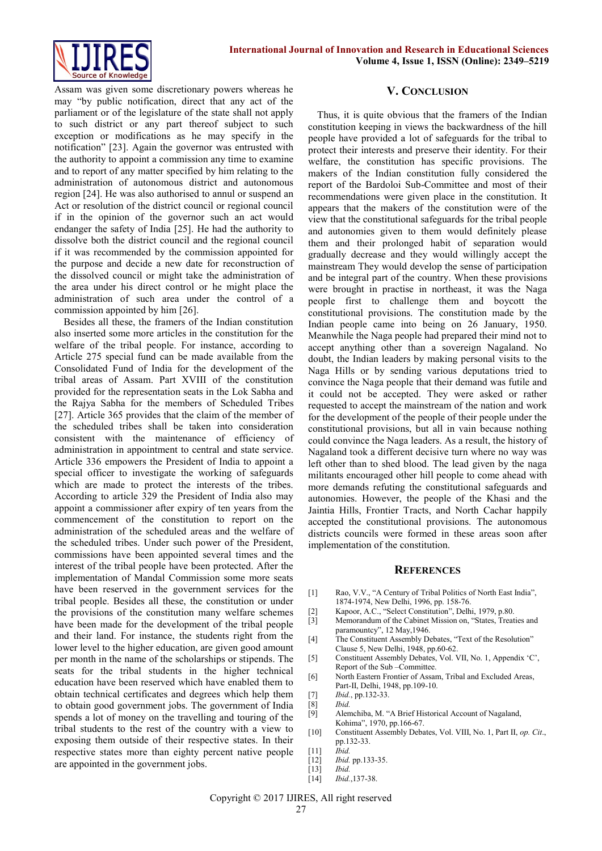

Assam was given some discretionary powers whereas he may "by public notification, direct that any act of the parliament or of the legislature of the state shall not apply to such district or any part thereof subject to such exception or modifications as he may specify in the notification" [23]. Again the governor was entrusted with the authority to appoint a commission any time to examine and to report of any matter specified by him relating to the administration of autonomous district and autonomous region [24]. He was also authorised to annul or suspend an Act or resolution of the district council or regional council if in the opinion of the governor such an act would endanger the safety of India [25]. He had the authority to dissolve both the district council and the regional council if it was recommended by the commission appointed for the purpose and decide a new date for reconstruction of the dissolved council or might take the administration of the area under his direct control or he might place the administration of such area under the control of a commission appointed by him [26].

Besides all these, the framers of the Indian constitution also inserted some more articles in the constitution for the welfare of the tribal people. For instance, according to Article 275 special fund can be made available from the Consolidated Fund of India for the development of the tribal areas of Assam. Part XVIII of the constitution provided for the representation seats in the Lok Sabha and the Rajya Sabha for the members of Scheduled Tribes [27]. Article 365 provides that the claim of the member of the scheduled tribes shall be taken into consideration consistent with the maintenance of efficiency of administration in appointment to central and state service. Article 336 empowers the President of India to appoint a special officer to investigate the working of safeguards which are made to protect the interests of the tribes. According to article 329 the President of India also may appoint a commissioner after expiry of ten years from the commencement of the constitution to report on the administration of the scheduled areas and the welfare of the scheduled tribes. Under such power of the President, commissions have been appointed several times and the interest of the tribal people have been protected. After the implementation of Mandal Commission some more seats have been reserved in the government services for the tribal people. Besides all these, the constitution or under the provisions of the constitution many welfare schemes have been made for the development of the tribal people and their land. For instance, the students right from the lower level to the higher education, are given good amount per month in the name of the scholarships or stipends. The seats for the tribal students in the higher technical education have been reserved which have enabled them to obtain technical certificates and degrees which help them to obtain good government jobs. The government of India spends a lot of money on the travelling and touring of the tribal students to the rest of the country with a view to exposing them outside of their respective states. In their respective states more than eighty percent native people are appointed in the government jobs.

#### **V. CONCLUSION**

Thus, it is quite obvious that the framers of the Indian constitution keeping in views the backwardness of the hill people have provided a lot of safeguards for the tribal to protect their interests and preserve their identity. For their welfare, the constitution has specific provisions. The makers of the Indian constitution fully considered the report of the Bardoloi Sub-Committee and most of their recommendations were given place in the constitution. It appears that the makers of the constitution were of the view that the constitutional safeguards for the tribal people and autonomies given to them would definitely please them and their prolonged habit of separation would gradually decrease and they would willingly accept the mainstream They would develop the sense of participation and be integral part of the country. When these provisions were brought in practise in northeast, it was the Naga people first to challenge them and boycott the constitutional provisions. The constitution made by the Indian people came into being on 26 January, 1950. Meanwhile the Naga people had prepared their mind not to accept anything other than a sovereign Nagaland. No doubt, the Indian leaders by making personal visits to the Naga Hills or by sending various deputations tried to convince the Naga people that their demand was futile and it could not be accepted. They were asked or rather requested to accept the mainstream of the nation and work for the development of the people of their people under the constitutional provisions, but all in vain because nothing could convince the Naga leaders. As a result, the history of Nagaland took a different decisive turn where no way was left other than to shed blood. The lead given by the naga militants encouraged other hill people to come ahead with more demands refuting the constitutional safeguards and autonomies. However, the people of the Khasi and the Jaintia Hills, Frontier Tracts, and North Cachar happily accepted the constitutional provisions. The autonomous districts councils were formed in these areas soon after implementation of the constitution.

#### **REFERENCES**

- [1] Rao, V.V., "A Century of Tribal Politics of North East India", 1874-1974, New Delhi, 1996, pp. 158-76.
- [2] Kapoor, A.C., "Select Constitution", Delhi, 1979, p.80.
- [3] Memorandum of the Cabinet Mission on, "States, Treaties and paramountcy", 12 May, 1946.
- [4] The Constituent Assembly Debates, "Text of the Resolution" Clause 5, New Delhi, 1948, pp.60-62.
- [5] Constituent Assembly Debates, Vol. VII, No. 1, Appendix 'C', Report of the Sub –Committee.
- [6] North Eastern Frontier of Assam, Tribal and Excluded Areas, Part-II, Delhi, 1948, pp.109-10.
- [7] *Ibid.*, pp.132-33.
- [8] *Ibid.*
- Alemchiba, M. "A Brief Historical Account of Nagaland, Kohima", 1970, pp.166-67.
- [10] Constituent Assembly Debates, Vol. VIII, No. 1, Part II, *op. Cit*., pp.132-33.
- [11] *Ibid.*
- [12] *Ibid.* pp.133-35.
- $Ibid.$
- [14] *Ibid.*,137-38.

Copyright © 2017 IJIRES, All right reserved